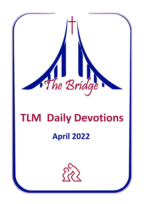

# **TLM Daily Devotions**

## **April 2022**

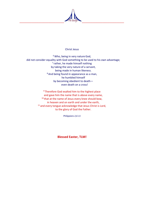

#### Christ Jesus

<sup>6</sup> Who, being in very nature God, did not consider equality with God something to be used to his own advantage; <sup>7</sup> rather, he made himself nothing by taking the very nature of a servant, being made in human likeness. <sup>8</sup> And being found in appearance as a man, he humbled himself by becoming obedient to death even death on a cross!

> <sup>9</sup> Therefore God exalted him to the highest place and gave him the name that is above every name, <sup>10</sup> that at the name of Jesus every knee should bow, in heaven and on earth and under the earth, <sup>11</sup> and every tongue acknowledge that Jesus Christ is Lord, to the glory of God the Father.

> > *Philippians 2,6-11*

**Blessed Easter, TLM!**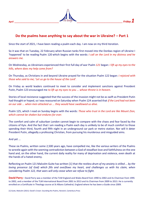

## **Do the psalms have anything to say about the war in Ukraine? – Part 1**

Since the start of 2021, I have been reading a psalm each day. I am now on my third iteration.

So it was that on Tuesday, 22 February when Russian tanks first moved into the Donbas region of Ukraine I 'happened' to be reading Psalm 120 which begins with the words: *I call on the Lord in my distress and he answers me.*

On Wednesday, as Ukrainians experienced their first full day of war Psalm *121* began: *I lift up my eyes to the hills, where does my help come from?*

On Thursday, as Christians in and beyond Ukraine prayed for the situation Psalm 122 began: *I rejoiced with those who said to me; 'Let us go to the house of the Lord'.*

On Friday as world leaders continued to meet to consider and implement sanctions against President Putin, Psalm 123 encouraged me *to lift up my eyes to you ... whose throne is in heaven.*

Stories of local resistance suggested that the success of the invasion might not be as swift as President Putin had thought or hoped, so I was reassured on Saturday when Psalm 124 asserted that *if the Lord had not been on our side ... when men attacked us ... they would have swallowed us alive.*

Psalm 125, which I read on Sunday begins with the words: *Those who trust in the Lord are like Mount Zion, which cannot be shaken but endures for ever.*

The comfort and calm of suburban London cannot begin to compare with the chaos and fear faced by the citizens of Kyiv. And the fact that I am reading a Psalm each day is unlikely to be of much comfort to those spending their third, fourth and fifth night in an underground car park or metro station. Nor will it deter President Putin, allegedly a professing Christian, from pursuing his murderous and misguided aims.

#### And yet ...

These six Psalms, written some 2,500 years ago, have compelled me, like the various writers of the Psalms to wrestle again with the seeming contradiction between a God of steadfast love and faithfulness on the one hand and, on the other hand, the current daily reality for many of deprivation and violence, even death at the hands of a hated enemy.

Reflecting on Psalm 121 Malcolm Guite has written [1] that *the restless drum of my anxiety is stilled ... by the loving presence (of God) which fills and overflows my heart, and challenges us with his claim, when considering Psalm 122, that wars will only cease when we refuse to fight.*

**David Parry -** David Parry was a member of the TLM England and Wales Board from 1990 to 2002 and its Chairman from 1995 to 2002, and a member of the TLM International Board from 2001 to 2013 and its Chairman from 2009 to 2013. He is currently enrolled on a Certificate in Theology course at St Albans Cathedral, England where he has been a Guide since 2009.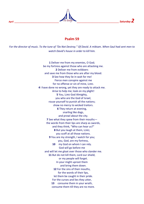

## **Psalm 59**

*For the director of music. To the tune of "Do Not Destroy." Of David. A* miktam. *When Saul had sent men to watch David's house in order to kill him.*

> **1** Deliver me from my enemies, O God; be my fortress against those who are attacking me. **2** Deliver me from evildoers and save me from those who are after my blood. **3** See how they lie in wait for me! Fierce men conspire against me for no offense or sin of mine, LORD. **4** I have done no wrong, yet they are ready to attack me. Arise to help me; look on my plight! **5** You, LORD God Almighty, you who are the God of Israel, rouse yourself to punish all the nations; show no mercy to wicked traitors. **6** They return at evening, snarling like dogs, and prowl about the city. **7** See what they spew from their mouths the words from their lips are sharp as swords, and they think, "Who can hear us?" **8** But you laugh at them, LORD; you scoff at all those nations. **9** You are my strength, I watch for you; you, God, are my fortress, **10** my God on whom I can rely. God will go before me and will let me gloat over those who slander me. **11** But do not kill them, Lord our shield, or my people will forget. In your might uproot them and bring them down. **12** For the sins of their mouths, for the words of their lips, let them be caught in their pride. For the curses and lies they utter, **13** consume them in your wrath, consume them till they are no more.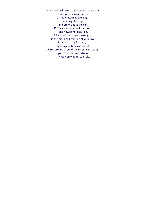Then it will be known to the ends of the earth that God rules over Jacob. **14** They return at evening, snarling like dogs, and prowl about the city. **15** They wander about for food and howl if not satisfied. **16** But I will sing of your strength, in the morning I will sing of your love; for you are my fortress, my refuge in times of trouble. **17** You are my strength, I sing praise to you; you, God, are my fortress, my God on whom I can rely.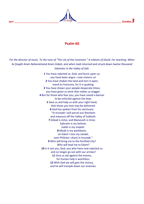

## **Psalm 60**

*For the director of music. To the tune of "The Lily of the Covenant." A* miktam *of David. For teaching. When he fought Aram Naharaimand Aram Zobah, and when Joab returned and struck down twelve thousand Edomites in the Valley of Salt.*

> **1** You have rejected us, God, and burst upon us; you have been angry—now restore us! **2** You have shaken the land and torn it open; mend its fractures, for it is quaking. **3** You have shown your people desperate times; you have given us wine that makes us stagger. **4** But for those who fear you, you have raised a banner to be unfurled against the bow. **5** Save us and help us with your right hand, that those you love may be delivered. **6** God has spoken from his sanctuary: "In triumph I will parcel out Shechem and measure off the Valley of Sukkoth. **7** Gilead is mine, and Manasseh is mine; Ephraim is my helmet, Judah is my scepter. **8** Moab is my washbasin, on Edom I toss my sandal; over Philistia I shout in triumph." **9** Who will bring me to the fortified city? Who will lead me to Edom? **10** Is it not you, God, you who have now rejected us and no longer go out with our armies? **11** Give us aid against the enemy, for human help is worthless. **12** With God we will gain the victory, and he will trample down our enemies.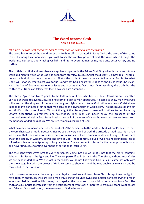



## **The Word became flesh**

Truth & Light in Jesus

#### *John 1:9 "The true light that gives light to every man was coming into the world."*

The Word had entered the world order that He himself had created. In Jesus Christ, the Word of God came to dwell amongst us. John said, if you wish to see the creative power of God, the Word which brought the world into existence and which gives light and life to every human being, look unto Jesus Christ, and no further.

The truth is that God and Jesus have always been together in the Triune God. Only when Jesus came into our world did man fully see what God has been from eternity. In Jesus Christ the distant, unknowable, invisible, unreachable God has come to save man. That is the truth. It means none can tell us what God is like, what God's will is for us, what God's love for us is and what God's heart for us is as truthfully as Jesus Christ can. He is the Son of God whether one believes and accepts that fact or not. One may deny the truth, but the truth is true. None can falsify that fact; however hard Satan tries.

The phrase "grace and truth" points to the faithfulness of God who had sent Jesus Christ his only begotten Son to our world to save us. Jesus did not come to talk to man about God. He came to show man what God is like so that the simplest of the minds among us might come to know God intimately. Jesus Christ shines light on man's darkness of sin so that man can see the divine truth of God in Him. The light reveals man's sin and God's truth concomitantly. Without the light that Jesus gives us man will continue to be blinded by Satan's deceptions, allurements and falsehoods. Then man can never enjoy the presence of the compassionate Almighty God. Jesus breaks the spell of darkness of sin on human soul. We are freed from the bondage of darkness of sin. We are redeemed as children of God.

What has come to man is what J. H. Bernard calls "the exhibition to the world of God in Christ". Jesus reveals the very character of God. In Jesus Christ we see the very mind of God, the attitude of God towards man. If we believe that, then we also believe that God is like Jesus; kind, compassionate and loving. In Jesus there dwelt the totality of wisdom, power and love of God. The redemptive love of God has no boundaries. Jesus is inexhaustible in the outpouring of his grace to us. One can submit to Jesus for the redemption of his soul and never find Jesus wanting. Our hope of salvation is Jesus Christ.

The true light which gives light to every person has come into our world. It is not that the Word 'contains' light and life; Jesus is the light and life. They are personified in Jesus Christ. Therefore, without Jesus Christ we are dead in darkness. We are lost in the world. We do not know who God is. Jesus came not only with the knowledge but with the power of God. He came to show us the right way, enable us to walk it and be reconciled to the Holy God.

Left to ourselves we are at the mercy of our physical passions and fears. Jesus Christ brings to us the light of revelation. Without Jesus we are like a man travelling on an unknown road in utter darkness trying to reach an unspecified destination. His coming had dispelled the darkness of our spiritual separation from God. The truth of Jesus Christ liberates us from the estrangement with God; it liberates us from our fears, weaknesses and failures. Our destination, the mercy seat of God in heaven.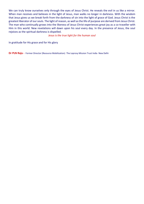We can truly know ourselves only through the eyes of Jesus Christ. He reveals the evil in us like a mirror. When man receives and believes in the light of Jesus, man walks no longer in darkness. With the wisdom that Jesus gives us we break forth from the darkness of sin into the light of grace of God. Jesus Christ is the greatest liberator of our souls. The light of reason, as well as the life of purpose are derived from Jesus Christ. The man who continually grows into the likeness of Jesus Christ experiences great joy as a co-traveller with Him in this world. New revelations will dawn upon his soul every day. In the presence of Jesus, the soul rejoices as the spiritual darkness is dispelled.

#### *Jesus is the true light for the human soul*

In gratitude for His grace and for His glory

**Dr PLN Raju -** Former Director (Resource Mobilization)The Leprosy Mission Trust IndiaNew Delhi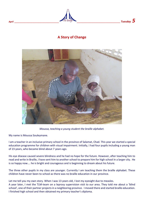

## **A Story of Change**



*Moussa, teaching a young student the braille alphabet.*

My name is Moussa Souleymane.

I am a teacher in an inclusive primary school in the province of Salamat, Chad. This year we started a special education programme for children with visual impairment. Initially, I had four pupils including a young man of 23 years, who became blind about 7 years ago.

His eye disease caused severe blindness and he had no hope for the future. However, after teaching him to read and write in Braille, I have sent him to another school to prepare him for high school in a larger city. He is so happy now…. he is bright and courageous and is beginning to dream about his future.

The three other pupils in my class are younger. Currently I am teaching them the braille alphabet. These children have never been to school as there was no braille education in our province.

Let me tell you my own story. When I was 13 years old, I lost my eyesight due to measles.

A year later, I met the TLM-team on a leprosy supervision visit to our area. They told me about a 'blind school', one of their partner projects in a neighboring province. I moved there and started braille education. I finished high school and then obtained my primary teacher's diploma.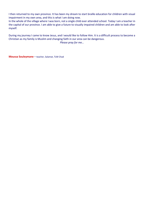I then returned to my own province. It has been my dream to start braille education for children with visual impairment in my own area, and this is what I am doing now.

In the whole of the village where I was born, not a single child ever attended school. Today I am a teacher in the capital of our province. I am able to give a future to visually impaired children and am able to look after myself.

During my journey I came to know Jesus, and I would like to follow Him. It is a difficult process to become a Christian as my family is Muslim and changing faith in our area can be dangerous.

*Please pray for me…*

**Moussa Souleymane** *–* teacher, Salamat, TLM Chad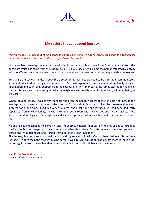

## **My society thought about leprosy**

*Matthew 11: 5 (TB) The blind receive sight, the lame walk, those who have leprosy are cured, the deaf people hear, the dead are raised and to the poor good news is preached.*

In our society nowadays, many people still think that leprosy is a curse from God or a curse from the ancestors which has come from the cultural beliefs. Usually, society will blame the person affected by leprosy and the affected persons, we just have to accept it as there are no other words or way to defend ourselves.

To change the society mindset about the disease of leprosy, people need to be informed, communicated with, and educated, properly and continuously. My own experienced was when I and my family received information and counseling support from the Leprosy Mission Timor Leste, my family started to change all their attitudes towards me and gradually my neighbors and society accept me as I am, a human being as they are.

When I caught leprosy, I was only 9 years old and even the health workers at the time did not know that it was leprosy, my sister also a nurse at the time didn't know about leprosy, so I had the disease with me and suffered for a long time. I lived in a very rural area, and I lost hope and joy because I had been 'indirectly separated' from my own family, they put me in the special room with my own bed and my own dishes. There was no friend to play with me, neighbors and society kept their distance as they said I had an evil spirit with me.

No one had ever diagnosed me correctly, until the Leprosy Mission Timor Leste visited my village to introduce the Leprosy Mission program to the community and health workers. My sister was also there and got me to tested and I was diagnosed and started treatments for 1 year since then.

The Leprosy Mission also supported me to build my relationship with God. When I believed 'Jesus heals leprosy", He gave me hope that, I would be cured, have a future, education, got job, got married, have a kid, get recognition from the society that I am not disabled, I am able….all because I have Jesus.

#### **Joel Costa Dos Santos**

Advocay Officer, TLM Timor Leste.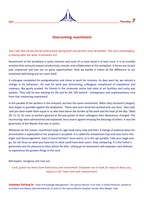

## **Overcoming resentment**

## *And I saw that all toil and all achievement spring from one person's envy of another. This too is meaningless, a chasing after the wind. Ecclesiastes 4:4*

Resentment at the workplace is quite common and most of us have faced it at least once. It is an invisible emotion that seriously impacts productivity, morale, and collaboration at the workplace. It forces you to quit jobs unplanned and lose out on great opportunities. How we handle it makes all the difference to our emotional well-being and our work itself.

A colleague completed his postgraduation and chose to work for missions. As days went by, we noticed a change in his behaviour. His zeal for work was diminishing, colleagues complained of impatience and rudeness. We gently probed. His friends in the corporate sector had state of art facilities and cushy pay packets. They told he was wasting his life and he felt 'left behind'. Unhappiness and unpleasantness rose from that simmering resentment.

In the parable of the workers in the vineyard, we hear the same resentment. *When they received it (wages), they began to grumble against the landowner. 'These who were hired last worked only one hour,' they said, 'and you have made them equal to us who have borne the burden of the work and the heat of the day.' Matt 20: 11-12*. As soon as workers glanced at the pay packet of their colleagues their demeanour changed. The murmurings were admonished and explained. Jesus warns against envying the blessings of others. It was the generosity of the Master that was in action.

Whatever be the reason, resentment pops its ugly head every now and then. A twinge of jealousy when his presentation is applauded or her proposal is accepted. It is called the comparison trap and soon turns into anger and discouragement. Does it sound familiar? Jesus warns us in this apt parable. Take your wage and go. Do not focus on what you have lost or what could have been yours. Stop comparing. It is the Father's generosity and His pleasure to bless whom He wills. Letting go of resentment will empower each believer to experience the greater things in the Lord.

Retrospect, recognize and root out.

*Lord, guard my heart from bitterness and resentment. Empower me to look for ways to bless you, rejoice in all I have and seek contentment.*

**Joydeepa Darlong Dr**Head of Knowledge Management, The Leprosy Mission Trust India. A *Family Physician, worked as Consultant and Deputy Superintendent for 15 years at The Leprosy Mission Hospital, Purulia, West Bengal, India.*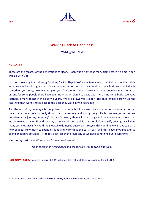

## **Walking Back to Happiness**

Walking With God

#### *Genesis 6:9*

These are the records of the generations of Noah. Noah was a righteous man, blameless in his time; Noah walked with God.

I do not know why the rock song "Walking Back to Happiness" came to my mind, but it struck me that this is what we need to do right now. Many people sing or hum as they go about their business and if this is something you enjoy, no one is stopping you. The events of the last two years have been traumatic for all of us, and for some people there have been traumas unrelated to Covid 19. There is no going back. We have learned so many things in the last two years. We are all two years older. The children have grown up, the last thing they want is to go back to the class they were in two years ago.

And the rest of us, we may wish to go back to normal but if we are honest we do not know what normal means any more. We can only do our best prayerfully and thoughtfully. Each time we go out we ask ourselves is my journey necessary? Many of us worry about climate change and the environment more than we did two years ago. Should I use my car or should I use public transport? Can I justify owning a car? How many air miles may I fly? And the inevitable domestic query, can I recycle this? And now we have to plan a new budget. How much to spend on food and warmth as the costs soar. Will this leave anything over to spend on leisure activities? Probably a lot less than previously so we need to rethink out leisure time.

Well, as my next musical\* says "You'll never walk alone".

*Noah faced many challenges and his decision was to walk with God.*

**Rosemary Tootle,** volunteer Purulia 1968-69. Volunteer International Office since retiring from the NHS.

\*Carousel, which was released in the USA in 1945, at the end of the Second World War.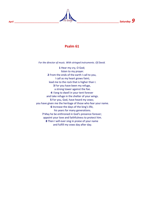

## **Psalm 61**

*For the director of music. With stringed instruments. Of David.*

**1** Hear my cry, O God; listen to my prayer. **2** From the ends of the earth I call to you, I call as my heart grows faint; lead me to the rock that is higher than I. **3** For you have been my refuge, a strong tower against the foe. **4** I long to dwell in your tent forever and take refuge in the shelter of your wings. **5** For you, God, have heard my vows; you have given me the heritage of those who fear your name. **6** Increase the days of the king's life, his years for many generations. **7** May he be enthroned in God's presence forever; appoint your love and faithfulness to protect him. **8** Then I will ever sing in praise of your name and fulfill my vows day after day.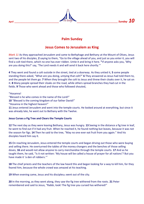

## **Palm Sunday**

## **Jesus Comes to Jerusalem as King**

*Mark 11* As they approached Jerusalem and came to Bethphage and Bethany at the Mount of Olives, Jesus sent two of his disciples, **2** saying to them, "Go to the village ahead of you, and just as you enter it, you will find a colt tied there, which no one has ever ridden. Untie it and bring it here. **<sup>3</sup>** If anyone asks you, 'Why are you doing this?' say, 'The Lord needs it and will send it back here shortly.'"

**4** They went and found a colt outside in the street, tied at a doorway. As they untied it, **5** some people standing there asked, "What are you doing, untying that colt?" **6** They answered as Jesus had told them to, and the people let them go. **7** When they brought the colt to Jesus and threw their cloaks over it, he sat on it. **8** Many people spread their cloaks on the road, while others spread branches they had cut in the fields. **9** Those who went ahead and those who followed shouted,

"Hosanna!

- "Blessed is he who comes in the name of the Lord!"
- **10** "Blessed is the coming kingdom of our father David!"
- "Hosanna in the highest heaven!"

**11** Jesus entered Jerusalem and went into the temple courts. He looked around at everything, but since it was already late, he went out to Bethany with the Twelve.

#### **Jesus Curses a Fig Tree and Clears the Temple Courts**

**12** The next day as they were leaving Bethany, Jesus was hungry. **13** Seeing in the distance a fig tree in leaf, he went to find out if it had any fruit. When he reached it, he found nothing but leaves, because it was not the season for figs. **14** Then he said to the tree, "May no one ever eat fruit from you again." And his disciples heard him say it.

**15** On reaching Jerusalem, Jesus entered the temple courts and began driving out those who were buying and selling there. He overturned the tables of the money changers and the benches of those selling doves, **16** and would not allow anyone to carry merchandise through the temple courts. **17** And as he taught them, he said, "Is it not written: 'My house will be called a house of prayer for all nations'? But you have made it 'a den of robbers.'"

**18** The chief priests and the teachers of the law heard this and began looking for a way to kill him, for they feared him, because the whole crowd was amazed at his teaching.

19 When evening came, Jesus and his disciples<sup>[\[](https://www.biblegateway.com/passage/?search=mark+11&version=NIV#fen-NIV-24660e)e]</sup> went out of the city.

**20** In the morning, as they went along, they saw the fig tree withered from the roots. **21** Peter remembered and said to Jesus, "Rabbi, look! The fig tree you cursed has withered!"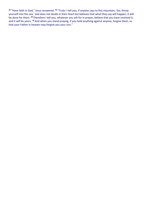22 "Have faith in God," Jesus answered. <sup>23</sup> "Truly<sup>®</sup> I tell you, if anyone says to this mountain, 'Go, throw yourself into the sea,' and does not doubt in their heart but believes that what they say will happen, it will be done for them. **<sup>24</sup>** Therefore I tell you, whatever you ask for in prayer, believe that you have received it, and it will be yours. **<sup>25</sup>** And when you stand praying, if you hold anything against anyone, forgive them, so that your Father in heaven may forgive you your sins."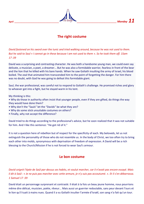

## **The right costume**

*David fastened on his sword over the tunic and tried walking around, because he was not used to them. But he said to Saul « I cannot go in these because I am not used to them ». So he took them off. 1Sam 17 :39*

David was a surprising and contrasting character. He was both a handsome young man, we could even say delicate, a musician, a poet, a dreamer... But he was also a formidable warrior, fearless in front of the bear and the lion that he killed with his bare hands. When he saw Goliath insulting the army of Israel, his blood boiled. The zeal that animated him transcended him to the point of forgetting the danger. For him there was no doubt, with God he was going to defeat this formidable giant.

Saul, the war professional, was careful not to respond to Goliath's challenge. He promised riches and glory to whoever got into a fight, but he stayed warm in his tent.

My thinking is this:

- Why do those in authority often insist that younger people, even if they are gifted, do things the way they would have done them?
- Why don't the "Sauls" let the "Davids" be what they are?
- Why do some stick unsuitable costumes on others?
- Finally, why not accept the difference?

David tried to do things according to the professional's advice, but he soon realized that it was not suitable for him. And I like this sentence: "He got rid of it."

It is not a question here of rebellion but of respect for the specificity of each. My beloveds, let us not extinguish the personality of those who do not resemble us. In the body of Christ, we too often try to bring each other into molds, synonymous with deprivation of freedom of expression. A David will be a rich blessing to the Church/Mission if he is not forced to wear Saul's armour.

## **Le bon costume**

*David ceignit l'épée de Saül par-dessus ses habits, et voulut marcher, car il n'avait pas encore essayé. Mais il dit à Saül : « Je ne puis pas marcher avec cette armure, je n'y suis pas accoutumé. ». Et il s'en débarrassa. 1 Samuel 17 :39*

David était un personnage surprenant et contrasté. Il était à la fois un beau jeune homme, nous pourrions même dire délicat, musicien, poète, rêveur... Mais aussi un guerrier redoutable, sans peur devant l'ours et le lion qu'il tuait à mains nues. Quand il a vu Goliath insulter l'armée d'Israël, son sang n'a fait qu'un tour.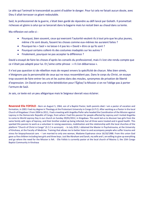Le zèle qui l'animait le transcendait au point d'oublier le danger. Pour lui cela ne faisait aucun doute, avec Dieu il allait terrasser ce géant redoutable.

Saül, le professionnel de la guerre, s'était bien gardé de répondre au défi lancé par Goliath. Il promettait richesses et gloire à celui qui se lancerait dans la bagarre mais lui restait bien au chaud dans sa tente.

Ma réflexion est celle-ci :

- Pourquoi, bien souvent, ceux qui exercent l'autorité veulent-ils à tout prix que les plus jeunes, même s'ils sont doués, fassent les choses comme eux-mêmes les auraient faites ?
- Pourquoi les « Saül » ne laisse-t-il pas les « David » être ce qu'ils sont ?
- Pourquoi certains collent-ils des costumes inadaptés sur les autres ?
- Finalement, pourquoi ne pas accepter la différence ?

David a essayé de faire les choses d'après les conseils du professionnel, mais il s'est vite rendu compte que ce n'était pas adapté pour lui. Et j'aime cette phrase : « Il s'en débarrassa ».

Il n'est pas question ici de rébellion mais de respect envers la spécificité de chacun. Mes bien-aimés, n'éteignons pas la personnalité de ceux qui ne nous ressemblent pas. Dans le corps du Christ, on essaye trop souvent de faire entrer les uns et les autres dans des moules, synonymes de privation de liberté d'expression. Un David sera une riche bénédiction pour l'Église/ la Mission si on ne l'oblige pas à porter l'armure de Saül.

Je sais, ce texte est un peu allégorique mais le Seigneur devrait vous éclairer.

**Reverend Elie FOFOLO -** Born on August 5, 1964, son of a Baptist Pastor, both parents died. I am a pastor of vocation and formation, in 2001 I had my degree in Theology at the Protestant University in Congo (U.P.C). After working as a Pastor in the local Church of Kingabwa 1 from 2004 to 2011, I had a meeting with Angelika Piefer who headed the Coordination of the Mission against Leprosy in the Democratic Republic of Congo, from where I had this passion for people affected by Leprosy and I invited Angelika to come to World Leprosy Day in our church on Sunday 29/01/2012, in Kingabwa. This work led us to discover two girls from the same family with signs of leprosy, and their brother ended up being infected, but all three were treated and in good health. This sparked this passion to work as a volunteer in raising awareness, mobilization and the relationship with the local churches of the platform "Church of Christ in Congo" (E.C.C in acronym). **-** In July 2019, I obtained the Master in Psychotrauma, at the University of Kinshasa, at the Faculty of Medicine. Training that allows me to better listen to and accompany people who suffer trauma and stress for biopsychosocial care. **-** I am married to only one woman, Madame Espérance since 16/10/1988. From this union God gave us five children including two girls and three boys. Just like Abraham and Sarah, my wife and I, are willing to give up everything and go where the need for the Mission is felt. - Elie Fofolo is currently pastor at the local church of Masina 3, the 15th Congo Baptist Community in Kinshasa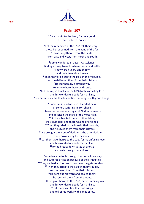

## **Psalm 107**

**<sup>1</sup>**Give thanks to the LORD, for he is good; his love endures forever.

**2** Let the redeemed of the LORD tell their story those he redeemed from the hand of the foe, **3** those he gathered from the lands, from east and west, from north and south.

**<sup>4</sup>** Some wandered in desert wastelands, finding no way to a city where they could settle. **<sup>5</sup>** They were hungry and thirsty, and their lives ebbed away. **<sup>6</sup>** Then they cried out to the LORD in their trouble, and he delivered them from their distress. **<sup>7</sup>**He led them by a straight way to a city where they could settle. **8** Let them give thanks to the LORD for his unfailing love and his wonderful deeds for mankind, **9** for he satisfies the thirsty and fills the hungry with good things.

**<sup>10</sup>** Some sat in darkness, in utter darkness, prisoners suffering in iron chains, **<sup>11</sup>** because they rebelled against God's commands and despised the plans of the Most High. **<sup>12</sup>** So he subjected them to bitter labor; they stumbled, and there was no one to help. **<sup>13</sup>** Then they cried to the LORD in their trouble, and he saved them from their distress. **<sup>14</sup>**He brought them out of darkness, the utter darkness, and broke away their chains. **<sup>15</sup>** Let them give thanks to the LORD for his unfailing love and his wonderful deeds for mankind, **<sup>16</sup>** for he breaks down gates of bronze and cuts through bars of iron.

**<sup>17</sup>** Some became fools through their rebellious ways and suffered affliction because of their iniquities. **<sup>18</sup>** They loathed all food and drew near the gates of death. **<sup>19</sup>** Then they cried to the LORD in their trouble, and he saved them from their distress. **<sup>20</sup>**He sent out his word and healed them; he rescued them from the grave. **<sup>21</sup>** Let them give thanks to the LORD for his unfailing love and his wonderful deeds for mankind. **<sup>22</sup>** Let them sacrifice thank offerings and tell of his works with songs of joy.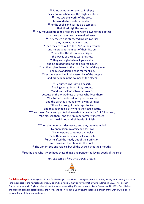**<sup>23</sup>** Some went out on the sea in ships; they were merchants on the mighty waters. **<sup>24</sup>** They saw the works of the LORD, his wonderful deeds in the deep. **<sup>25</sup>** For he spoke and stirred up a tempest that lifted high the waves. **<sup>26</sup>** They mounted up to the heavens and went down to the depths; in their peril their courage melted away. **<sup>27</sup>** They reeled and staggered like drunkards; they were at their wits' end. **<sup>28</sup>** Then they cried out to the LORD in their trouble, and he brought them out of their distress. **<sup>29</sup>**He stilled the storm to a whisper; the waves of the sea were hushed. **<sup>30</sup>** They were glad when it grew calm, and he guided them to their desired haven. **<sup>31</sup>** Let them give thanks to the LORD for his unfailing love and his wonderful deeds for mankind. **<sup>32</sup>** Let them exalt him in the assembly of the people and praise him in the council of the elders.

**<sup>33</sup>**He turned rivers into a desert, flowing springs into thirsty ground, **<sup>34</sup>** and fruitful land into a salt waste, because of the wickedness of those who lived there. **<sup>35</sup>**He turned the desert into pools of water and the parched ground into flowing springs; **<sup>36</sup>** there he brought the hungry to live, and they founded a city where they could settle. **<sup>37</sup>** They sowed fields and planted vineyards that yielded a fruitful harvest; **<sup>38</sup>** he blessed them, and their numbers greatly increased, and he did not let their herds diminish.

**<sup>39</sup>** Then their numbers decreased, and they were humbled by oppression, calamity and sorrow; **<sup>40</sup>** he who pours contempt on nobles made them wander in a trackless waste. **<sup>41</sup>** But he lifted the needy out of their affliction and increased their families like flocks. **<sup>42</sup>** The upright see and rejoice, but all the wicked shut their mouths.

**<sup>43</sup>** Let the one who is wise heed these things and ponder the loving deeds of the LORD.

*You can listen it here with Daniel's music:*



**Daniel Donahaye** - I am 85 years old and for the last year have been putting my poetry to music, having launched my first cd in June in support of the Australian Leprosy Mission. I am happily married having met my wife in Israel in 1957. I was born in France but grew up in England, where I spent most of my working life. We retired to live in Queensland in 1999. Our children and grandchildren are spread across the world, and so I would sum up by saying that I am a citizen of the world with a deep concern for my fellow human beings.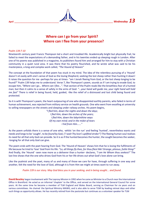

## **Where can I go from your Spirit? Where can I flee from your presence?**

#### *Psalm 139:7-10*

Nineteenth century poet Francis Thompson led a short and troubled life. Academically bright but physically frail, he failed to meet the expectations of a demanding father, and in his twenties ended up sleeping rough in London. After one of his poems was published in a magazine, its publishers found him and arranged for him to stay with a Christian community in a quiet rural area. It was there that his poetry flourished, and he wrote what was said to be his masterpiece, a long and complex work called, *"The Hound of Heaven"*

The concept at the foundation of that poem has stuck in my mind. The idea of the relentless pursuing of a 'Hound' doesn't sit easily with one's sense of God as the loving Shepherd, seeking the lost sheep rather than hunting it down! It raises the question for me -perhaps for you at times- "am I Jonah fleeing from God, or the lost sheep longing to be found?" Psalm 139 helps me to understand. Verse 7, like Thompson's poem, sounds as if I am trying to evade God, to escape him, *"Where can I go... Where can I flee...".* That section of the Psalm reads like the breathless fear of a hunted man; but then it calms to a sense of safety in the arms of God: *"...your hand will guide me, your right hand will hold me fast"* There is relief in being found, held, guided, -like the relief of a distressed and lost child being found and protected.

So it is with Thompson's poem, the heart-outpouring of one who disappointed earthly parents, who failed in terms of human achievement, was rejected from military service on health grounds. One who went from excelling at university to selling newspapers on the streets and sleeping under railway arches. His poem begins,

> *"I fled him, down the nights and down the days; I fled Him, down the arches of the years; I fled Him, down the labyrinthine ways Of my own mind; and in the midst of tears I hid from Him......"*

As the poem unfolds there is a sense of one who, -whilst 'on the run' and feeling 'hunted', nevertheless wants and needs and longs to be 'caught', to be *found* by God, ("*I wait Thy love's uplifted stroke!")* The fleeing human soul realises its need for all that only God can provide. So it is as if the hunted becomes the hunter, the sought becomes the seeker, -longing for all that only God can give.

The poem ends with the poet hearing from God. The 'Hound of Heaven' shows him that he is losing the fulfilments of life because he tried to 'lose' God from his life: *"Lo, all things fly thee, for thou fliest Me! Strange, piteous, futile thing!"* And finally, the 'Hound' -seen now more as a deliverer than a hunter- declares, *"I am He Whom thou seekest!"* The last line shows that the one who drives God from his or her life drives out what God's love alone can bring.

Like the psalmist and the poet, many of us and many of those we care for have, through suffering in one way and another, felt the need for the love of God, although it is from Him we might at times want to run away.

*Psalm 139 is our story. May God bless you in your seeking, and in being sought... and found.*

**David Beazley** began involvement with The Leprosy Mission in 1992 when he came as Minister to a Church near the International Office in Brentford. He acted as an informal 'chaplain' to the Office, and served on the International General Council for some years. At the same time he became a member of TLM England and Wales Board, serving as Chairman for six years and on various committees. He chaired the Spiritual Ministry MAWG, and is also able to serve TLMI by leading retreat days and other such things as opportunity allows. He has recently retired from the pastorate but continues as a volunteer speaker for TLM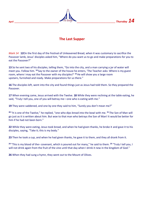## **The Last Supper**

*Mark 14* **12**On the first day of the Festival of Unleavened Bread, when it was customary to sacrifice the Passover lamb, Jesus' disciples asked him, "Where do you want us to go and make preparations for you to eat the Passover?"

**13** So he sent two of his disciples, telling them, "Go into the city, and a man carrying a jar of water will meet you. Follow him. **<sup>14</sup>** Say to the owner of the house he enters, 'The Teacher asks: Where is my guest room, where I may eat the Passover with my disciples?' **<sup>15</sup>**He will show you a large room upstairs, furnished and ready. Make preparations for us there."

**16** The disciples left, went into the city and found things just as Jesus had told them. So they prepared the Passover.

**17** When evening came, Jesus arrived with the Twelve. **18** While they were reclining at the table eating, he said, "Truly I tell you, one of you will betray me—one who is eating with me."

**19** They were saddened, and one by one they said to him, "Surely you don't mean me?"

**<sup>20</sup>** "It is one of the Twelve," he replied, "one who dips bread into the bowl with me. **<sup>21</sup>** The Son of Man will go just as it is written about him. But woe to that man who betrays the Son of Man! It would be better for him if he had not been born."

**22** While they were eating, Jesus took bread, and when he had given thanks, he broke it and gave it to his disciples, saying, "Take it; this is my body."

**23** Then he took a cup, and when he had given thanks, he gave it to them, and they all drank from it.

**24** "This is my blood of the covenant, which is poured out for many," he said to them. <sup>25</sup> "Truly I tell you, I will not drink again from the fruit of the vine until that day when I drink it new in the kingdom of God."

**26** When they had sung a hymn, they went out to the Mount of Olives.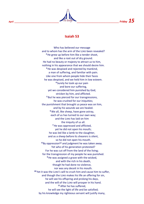

## **Isaiah 53**

Who has believed our message and to whom has the arm of the LORD been revealed? **<sup>2</sup>**He grew up before him like a tender shoot, and like a root out of dry ground. He had no beauty or majesty to attract us to him, nothing in his appearance that we should desire him. **<sup>3</sup>**He was despised and rejected by mankind, a man of suffering, and familiar with pain. Like one from whom people hide their faces he was despised, and we held him in low esteem. **<sup>4</sup>** Surely he took up our pain and bore our suffering, yet we considered him punished by God, stricken by him, and afflicted. **<sup>5</sup>** But he was pierced for our transgressions, he was crushed for our iniquities: the punishment that brought us peace was on him, and by his wounds we are healed. **<sup>6</sup>** We all, like sheep, have gone astray, each of us has turned to our own way; and the LORD has laid on him the iniquity of us all. **<sup>7</sup>**He was oppressed and afflicted, yet he did not open his mouth; he was led like a lamb to the slaughter, and as a sheep before its shearers is silent, so he did not open his mouth. <sup>8</sup> By oppression<sup>[\[a\]](https://www.biblegateway.com/passage/?search=Isaiah+53&version=NIV#fen-NIV-18720a)</sup> and judgment he was taken away. Yet who of his generation protested? For he was cut off from the land of the living; for the transgression of my people he was punished. **<sup>9</sup>**He was assigned a grave with the wicked, and with the rich in his death, though he had done no violence, nor was any deceit in his mouth. **<sup>10</sup>** Yet it was the LORD's will to crush him and cause him to suffer, and though the LORD makes his life an offering for sin, he will see his offspring and prolong his days, and the will of the LORD will prosper in his hand. **<sup>11</sup>** After he has suffered, he will see the light of life and be satisfied; by his knowledge my righteous servant will justify many,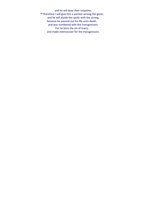and he will bear their iniquities. **<sup>12</sup>** Therefore I will give him a portion among the great, and he will divide the spoils with the strong, because he poured out his life unto death, and was numbered with the transgressors. For he bore the sin of many, and made intercession for the transgressors.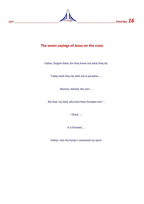

## **The seven sayings of Jesus on the cross**

Father, forgive them; for they know not what they do.

Today shalt thou be with me in paradise. ...

Woman, behold, thy son! ...

My God, my God, why hast thou forsaken me? ...

I thirst. ...

It is finished. ...

Father, into thy hands I commend my spirit.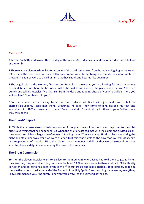

## **Easter**

*Matthew 28*

After the Sabbath, at dawn on the first day of the week, Mary Magdalene and the other Mary went to look at the tomb.

**2** There was a violent earthquake, for an angel of the Lord came down from heaven and, going to the tomb, rolled back the stone and sat on it. **3** His appearance was like lightning, and his clothes were white as snow. **4** The guards were so afraid of him that they shook and became like dead men.

**5** The angel said to the women, "Do not be afraid, for I know that you are looking for Jesus, who was crucified. **6** He is not here; he has risen, just as he said. Come and see the place where he lay. **7** Then go quickly and tell his disciples: 'He has risen from the dead and is going ahead of you into Galilee. There you will see him.' Now I have told you."

**8** So the women hurried away from the tomb, afraid yet filled with joy, and ran to tell his disciples. **9** Suddenly Jesus met them. "Greetings," he said. They came to him, clasped his feet and worshiped him. **10** Then Jesus said to them, "Do not be afraid. Go and tell my brothers to go to Galilee; there they will see me."

#### **The Guards' Report**

**11** While the women were on their way, some of the guards went into the city and reported to the chief priests everything that had happened. **12** When the chief priests had met with the elders and devised a plan, they gave the soldiers a large sum of money, **13** telling them, "You are to say, 'His disciples came during the night and stole him away while we were asleep.' **14** If this report gets to the governor, we will satisfy him and keep you out of trouble." **15** So the soldiers took the money and did as they were instructed. And this story has been widely circulated among the Jews to this very day.

#### **The Great Commission**

**16** Then the eleven disciples went to Galilee, to the mountain where Jesus had told them to go. **17** When they saw him, they worshiped him; but some doubted. **18** Then Jesus came to them and said, "All authority in heaven and on earth has been given to me. **<sup>19</sup>** Therefore go and make disciples of all nations, baptizing them in the name of the Father and of the Son and of the Holy Spirit, **<sup>20</sup>** and teaching them to obey everything I have commanded you. And surely I am with you always, to the very end of the age."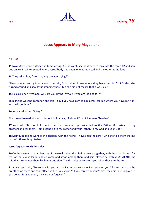

## **Jesus Appears to Mary Magdalene**

*John 20*

**11** Now Mary stood outside the tomb crying. As she wept, she bent over to look into the tomb **12** and saw two angels in white, seated where Jesus' body had been, one at the head and the other at the foot.

**13** They asked her, "Woman, why are you crying?"

"They have taken my Lord away," she said, "and I don't know where they have put him." **14** At this, she turned around and saw Jesus standing there, but she did not realize that it was Jesus.

**15** He asked her, "Woman, why are you crying? Who is it you are looking for?"

Thinking he was the gardener, she said, "Sir, if you have carried him away, tell me where you have put him, and I will get him."

**16** Jesus said to her, "Mary."

She turned toward him and cried out in Aramaic, "Rabboni!" (which means "Teacher").

17 Jesus said, "Do not hold on to me, for I have not yet ascended to the Father. Go instead to my brothers and tell them, 'I am ascending to my Father and your Father, to my God and your God.'"

**18** Mary Magdalene went to the disciples with the news: "I have seen the Lord!" And she told them that he had said these things to her.

#### **Jesus Appears to His Disciples**

**19** On the evening of that first day of the week, when the disciples were together, with the doors locked for fear of the Jewish leaders, Jesus came and stood among them and said, "Peace be with you!" **20** After he said this, he showed them his hands and side. The disciples were overjoyed when they saw the Lord.

**21** Again Jesus said, "Peace be with you! As the Father has sent me, I am sending you." **22** And with that he breathed on them and said, "Receive the Holy Spirit.<sup>23</sup> If you forgive anyone's sins, their sins are forgiven; if you do not forgive them, they are not forgiven."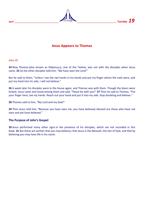*April \_\_\_\_\_\_\_\_\_\_\_\_\_\_\_\_\_\_\_\_\_\_\_\_\_\_\_\_\_\_\_\_\_\_\_\_\_ \_\_\_\_\_\_\_\_\_\_\_\_\_\_\_\_\_\_\_\_\_\_\_\_\_\_\_\_\_\_\_\_\_ Tuesday 19*

## **Jesus Appears to Thomas**

*John 20*

24 Now Thomas (also known as Didymus<sup>[\[](https://www.biblegateway.com/passage/?search=John%2020&version=NIV#fen-NIV-26892a)2]</sup>), one of the Twelve, was not with the disciples when Jesus came. **25** So the other disciples told him, "We have seen the Lord!"

But he said to them, "Unless I see the nail marks in his hands and put my finger where the nails were, and put my hand into his side, I will not believe."

**26** A week later his disciples were in the house again, and Thomas was with them. Though the doors were locked, Jesus came and stood among them and said, "Peace be with you!" **27** Then he said to Thomas, "Put your finger here; see my hands. Reach out your hand and put it into my side. Stop doubting and believe."

**28** Thomas said to him, "My Lord and my God!"

**29** Then Jesus told him, "Because you have seen me, you have believed; blessed are those who have not seen and yet have believed."

#### **The Purpose of John's Gospel**

**30** Jesus performed many other signs in the presence of his disciples, which are not recorded in this book. **31** But these are written that you may believe<sup>[\[](https://www.biblegateway.com/passage/?search=John%2020&version=NIV#fen-NIV-26899b)b]</sup> that Jesus is the Messiah, the Son of God, and that by believing you may have life in his name.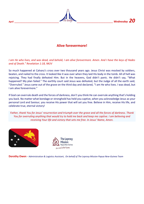*April April April**Letters <b>20 <i>Letters and the Bridge Letters <b>20 <i>Wednesday* 20



## **Alive forevermore!**

#### *I am He who lives, and was dead, and behold, I am alive forevermore. Amen. And I have the keys of Hades and of Death." Revelation 1:18, NKJV*

So much happened at Calvary's cross over two thousand years ago. Jesus Christ was mocked by soldiers, beaten, and nailed to the cross. It looked like it was over when they laid His body in the tomb. All of hell was rejoicing. They had finally defeated Him. But in the heavens, God didn't panic. He didn't say, "What happened? My plan failed." The earthly court said Jesus was defeated, but the Judge of all the earth said, "Overruled." Jesus came out of the grave on the third day and declared, "I am He who lives. I was dead, but I am alive forevermore."

If God can overrule death and the forces of darkness, don't you think He can overrule anything that's holding you back. No matter what bondage or stronghold has held you captive, when you acknowledge Jesus as your personal Lord and Saviour, you receive His power that will set you free. Believe in Him, receive His life, and celebrate true, eternal victory!

*Father, thank You for Jesus' resurrection and triumph over the grave and all the forces of darkness. Thank You for overruling anything that would try to hold me back and keep me captive. I am believing and receiving Your life and victory that sets me free. In Jesus' Name, Amen.*





**Dorothy Owen** - Administration & Logistics Assistant, *On behalf of The Leprosy Mission Papua New-Guinea Team*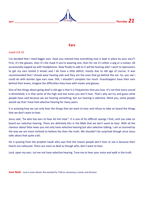

#### **Ears**

#### *Isaiah 6:8-10*

I've decided that I need bigger ears. Have you noticed how everything now is kept in place by your ears?! First, it's the glasses, then it's the mask if you're wearing one, then for me it's either a wig or a turban. All occasionally topped up with headphones. Now finally to add to it will be hearing aids! I went to Specsavers to get my ears tested (I know) and I do have a little deficit, mostly due to old age of course. It was recommended that I should wear hearing aids and they are the ones that go behind the ear. So, you see I could do with dumbo type ears now. Still, I shouldn't complain too much. Grasshoppers have their ears behind their knees, imagine the difficulties they have with masks and glasses.

One of the things about going deaf in old age is that it is frequencies that you lose. It's not that every sound is diminished, it is that some of the high and low tones you don't hear. That's why we try and guess what people have said because we are hearing something, but our hearing is selective. Mind you, some people would say that I have had selective hearing for many years.

It is amazing how we can only hear the things that we want to hear and refuse to take on board the things that we don't want to hear.

Jesus said, "he who has ears to hear let him hear". It is one of his difficult sayings I find, until you take on board our selective hearing. There are definitely bits in the Bible that we don't want to hear. With all the clamour about false news you not only have selective hearing but also selective talking. I am so stunned by the way we are more inclined to believe lies then the truth. We shouldn't be surprised though since Jesus talks about that quite a bit.

He is quoting from the prophet Isaiah who says that the reason people don't hear or see is because their hearts are calloused. There are none so deaf as though who, don't want to hear.

Lord, open my ears. Let me not have selective hearing. Tune me to hear your voice and walk in the truth.

**June Nash** - June is now retired. She worked for TLM as missionary, trainer and director.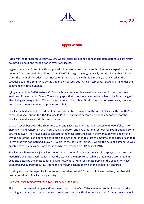

## **Apply within**

'Men wanted for hazardous journey. Low wages, bitter cold, long hours of complete darkness. Safe return doubtful. Honour and recognition in event of success.'

Legend has it that Ernest Shackleton placed this advert in preparation for his *Endurance* expedition – the Imperial Trans-Antarctic Expedition of 1914-1917. It's a great story, but sadly I must tell you that it is not true. The myth of the 'advert' resurfaced on 5<sup>th</sup> March 2022 with the discovery of the wreck in the Weddell Sea of the *Endurance* by the Cape Town based South African icebreaker, SA Agulhas II, under the command of captain Bhengu.

Lying at a depth of 3 000 metres, *Endurance* is in a remarkable state of preservation in the worm-free environs of the Antarctic Ocean. The photographs that have been released show her to be little changed after being submerged for 107 years, a testament to her robust Nordic construction – some say she was one of the sturdiest wooden ships ever to be built.

Shackleton had planned to lead the first trans-Antarctic crossing from the Weddell Sea via the South Pole to the Ross Sea , but on the 18th January 1915, the *Endurance* became ice-bound and for ten months, Shackleton and his party drifted with the ice.

On 21st November 1915, the *Endurance* sank and Shackleton and his men trekked with two lifeboats to Elephant Island, where, on 24th April 1916, Shackleton and five other men set out for South Georgia, some 800 miles away. They rowed and sailed across the most terrifying seas in the world, only to land on the wrong side of the island, forcing Shackleton and two other men to cross the mountains and glaciers on foot [a feat that was not matched in over 40 years] to the port of Stromness, where the help of a steam tug was enlisted to rescue his men – an operation which succeeded on  $30<sup>th</sup>$  August 1916.

Shackleton's heroism has justly long been lauded as one of the most remarkable displays of heroism and leadership ever displayed. What makes the story all the more remarkable is that it was documented in exquisite detail by the photopaper Frank Hurley, whose numerous photographs of the expedition have been preserved, graphically illustrating the harrowing conditions which the expedition endured.

Looking at those photographs, it seems inconceivable that all 28 men could have survived, but they did, due largely due to Shackleton's gallantry.

#### *'Of them which thou gavest me have I lost none.' John 18:9*

The Lord has entrusted people and resources to each one of us. Take a moment to think about that this morning. As far as those people are concerned, you are their Shackleton. Shackleton's men knew he would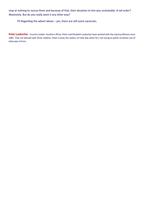stop at nothing to rescue them and because of that, their devotion to him was unshakable. A tall order? Absolutely. But do you really want it any other way?

PS Regarding the advert above – yes, there are still some vacancies.

Peter Laubscher - Country Leader, Southern Africa. Peter and Elizabeth Laubscher have worked with the Leprosy Mission since 1981. They are blessed with three children. Peter cruises the waters of False Bay when he's not trying to polish scratches out of telescope mirrors.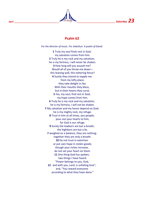

## **Psalm 62**

*For the director of music. For Jeduthun. A psalm of David.*

**1** Truly my soul finds rest in God; my salvation comes from him. **2** Truly he is my rock and my salvation; he is my fortress, I will never be shaken. **3** How long will you assault me? Would all of you throw me down this leaning wall, this tottering fence? **4** Surely they intend to topple me from my lofty place; they take delight in lies. With their mouths they bless, but in their hearts they curse. **5** Yes, my soul, find rest in God; my hope comes from him. **6** Truly he is my rock and my salvation; he is my fortress, I will not be shaken. **7** My salvation and my honor depend on God; he is my mighty rock, my refuge. **8** Trust in him at all times, you people; pour out your hearts to him, for God is our refuge. **9** Surely the lowborn are but a breath, the highborn are but a lie. If weighed on a balance, they are nothing; together they are only a breath. **10** Do not trust in extortion or put vain hope in stolen goods; though your riches increase, do not set your heart on them. **11** One thing God has spoken, two things I have heard: "Power belongs to you, God, **12** and with you, Lord, is unfailing love"; and, "You reward everyone according to what they have done."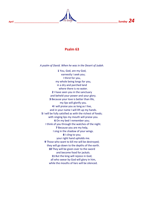

## **Psalm 63**

*A psalm of David. When he was in the Desert of Judah.*

**1** You, God, are my God, earnestly I seek you; I thirst for you, my whole being longs for you, in a dry and parched land where there is no water. **2** I have seen you in the sanctuary and beheld your power and your glory. **3** Because your love is better than life, my lips will glorify you. **4** I will praise you as long as I live, and in your name I will lift up my hands. **5** I will be fully satisfied as with the richest of foods; with singing lips my mouth will praise you. **6** On my bed I remember you; I think of you through the watches of the night. **7** Because you are my help, I sing in the shadow of your wings. **8** I cling to you; your right hand upholds me. **9** Those who want to kill me will be destroyed; they will go down to the depths of the earth. **10** They will be given over to the sword and become food for jackals. **11** But the king will rejoice in God; all who swear by God will glory in him, while the mouths of liars will be silenced.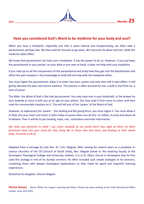

## **Have you considered God's Word to be medicine for your body and soul?**

When you have a headache, especially one that is quite intense and incapacitating, we often take a paracetamol, perhaps two. We then wait for the pain to go away. We may even lie down and rest, while the medicine takes effect.

We know that paracetamol can help cure a headache. It has the power to do so. However, if you just keep the paracetamol in your pocket, on your desk or just near at hand, it does not help with your headache.

If you read up on all the components of the paracetamol and study how they get into the bloodstream and effect the pain receptors- this knowledge in itself will not help with the headache either.

You must ingest the paracetamol, allow it to enter into your system and only then will it take effect. It will gently alleviate the pain and restore wellness. The process is often assisted by rest, a walk in the fresh air, a time of pause.

The Bible- the Word of God is like that paracetamol. You may have one in your bookshelf, in the drawer by your bedside or carry it with you as an app on your phone. You may read it from cover to cover, and then read the innumerable treatises on it. This will tell you of the 'power' of the Word of God.

However, to experience this 'power' - this healing and life giving force, you must ingest it. You must allow it to flow into your heart and mind. It often helps to pause when you do this- to reflect, to pray and above all to believe. Then it will be to you healing, hope, rest, restoration and even reformation.

*My child, pay attention to what I say. Listen carefully to my words. Don't lose sight of them. Let them penetrate deep into your heart, for they bring life to those who find them, and healing to their whole body. [Proverbs 4:20-22](https://www.biblegateway.com/passage/?search=Proverbs+4%3A20-22&version=NLT)*

Adapted from a message by Late Rev. Dr. S.D.L Alagodi. After serving for several years as a presbyter in various churches of the CSI (Church of South India), Rev. Alagodi joined as the teaching faculty at the Serampore Theological College and University, Kolkata. It is in St. Olav's church in Serampore that he first used this analogy in one of his Sunday sermons. He often included such simple analogies in his sermons, combining them with deeper theological explanations as they made for good and impactful learning experiences.

Shared by his daughter, Sharon Alagodi.

**Pierina Dsouza** - Senior Officer for Impact, Learning and Policy. Pierina has been working at the TLM International Office London, since June 2019.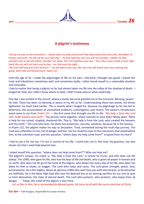

## **A pilgrim's testimony**

I lift up my eyes to the mountains—where does my help come from? My help comes from the *LORD*, the Maker of heaven and earth. He will not let your foot slip—he who watches over you will not slumber; indeed, he who watches over Israel will neither slumber nor sleep. The *LORD* watches over you— the *LORD* is your shade at your right hand; the sun will not harm you by day, nor the moon by night.

The *LORD* will keep you from all harm—he will watch over your life; the *LORD* will watch over your coming and going both now and forevermore. Psalm 121

Until the age of 32, I made the pilgrimages of life on my own; I did what I thought was good; I solved the trials and tribulations sometimes well, and sometimes badly; I often found myself in a vulnerable situation and miserable.

I had to realize that being a pilgrim so far had almost taken my life into the valley of the shadow of death. I longed for help, but I didn't know where to look; I didn't know who or what could help.

One day I was invited to the church, where a lovely old uncle greeted me at the entrance: Blessing, peace! - He told. There has been no blessing or peace in my life so far. Understanding these two words, my throat tightened, my heart beat harder. This is exactly what I longed for, because my pilgrimage so far has led to bitterness; the accumulation of unresolved problems; unlovingness; and misery. The pastor's introductory word came to me from *Psalm 121* — the first verse that brought my life to life*: "My help is from the Lord who made heaven and earth."* The picture came together, which seemed to have been falling apart. There is help for my ruined, crippled, shattered life. That is, "My help is from the Lord, who created the heavens and the earth." The Lord who lives, He alone has protection, security, salvation, because He is the Saviour. In Psalm 121, the pilgrim makes his way to Jerusalem. Tired, tormented during the multi-day journey. The road was unfamiliar to him, full of danger and fear, but he raised his eyes to the mountains that stood before him, to the unknown road, and the question, "where does my help come from?" erupted from his heart?

I had to see it for me too, I'm not in control of my life, I could only ruin it. But God, the gracious, has also shown me that I need help beyond man.

I asked myself this question, "where does my help come from?"? Who can help me?

The pilgrim's answer, his creed, is, "My help is from the Lord," in whom he trusts, and who does not fall asleep. The LORD, who gave his life, who has the keys of life and death, who is given all power in heaven and on earth, who does not let go of the hand of the pilgrim, who keeps him every day of his life, who does not allow his feet to shake, to stagger. The Lord who helps and saves. The Lord gives strength, peace, love, perseverance. He is the mighty, above all, glorious LORD who said I love you with eternal love, so he attracted me faithfully. He is the Most High God who sent His Beloved Son as an atoning sacrifice for our sins to save us from damnation, the state of eternal death. The Lord who protects, who protects, who keeps from all danger. - Today, the creed of the pilgrim is also mine.

*Let us flee to Him, He is surrounded by blessed grace, He turns to all with the mercy and love of Christ.*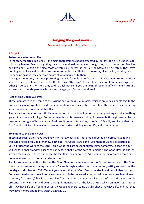

## **Bringing the good news –**

An example of people affected by leprosy

#### *2 Kings 7*

#### **To become actor in our lives**

In the story reported in 2 Kings 7, the main characters are people affected by leprosy. The city is under siege, it is facing famine. Even though they have an incurable disease, even though they had to leave their families and live apart, outside the city, those affected by leprosy do not let themselves be dejected. They have nothing left to lose and decide to surrender to the Syrians. Their chance to stay alive is slim, but they grab it. From being passive, they become actors of what happens to them.

Don't get me wrong, I am not presenting a magic formula. I don't say that, in case you are in a difficult situation, you just have to act and difficulties will "fly away". Remember, they are 4 and encourage each other (in verse 3 it is written: they said to each other). If you are going through a difficult time, surround yourself with friends, people who can encourage you. Do not stay alone !

#### **Recognising God in our lives**

These men arrive in the camp of the Syrians and witness … a miracle, which is an unexplainable fact to the human reason interpreted as a divine intervention. God makes the Syrians hear the sound of a great army with chariots and horses and they flee.

Am I aware of the miracles – God's interventions - in my life? I'm not necessarily talking about something great, it can be small things. God often manifests his presence subtly, for example through people. Let us recognise the signs of his presence. To do so, it helps to take time, to reflect. "Be still, and know that I am God" (Psalm 46:10). I invite you to recognise what God is doing in your life, and to let him do.

#### **To announce the Good News**

These men realise they have good news to share, what is it? These men affected by leprosy have found treasures (food, drink, gold, money, clothing). The Good News is the fulfillment of Elisha's prediction in verse 1 "Hear the word of the Lord. This is what the Lord says: About this time tomorrow, a seah of flour will sell for a shekel and two seahs of barley for a shekel at the gate of Samaria." The Good News is also, as we can read in verse 10, to announce the fact that the enemy fled: "We went into the Aramean camp and not a man was there – not a sound of anyone."

And for us, what is the Good News? The Good News is the fulfillment of God's promises in Jesus. The Good News is also Jesus overcoming our enemy Satan through his death and resurrection, setting us free from the bondage of sin. James 4:7-8: "Submit yourselves, then, to God. Resist the devil, and he will flee from you. Come near to God and he will come near to you. " To be delivered is not to no longer have problems (illness, suffering, fear, worry) but it is to receive from the Lord the grace to live each of these situations in his presence, glorifying him and being a living demonstration of the love of God which animates us. In Jesus Christ we have life and freedom. Jesus, the Good Shepherd, came that his sheep may have life, and that they may have it more abundantly (John 10.10 NKJV).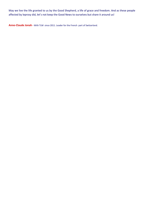May we live the life granted to us by the Good Shepherd, a life of grace and freedom. And as these people affected by leprosy did, let's not keep the Good News to ourselves but share it around us!

**Anne-Claude Jonah -** With TLM since 2011. Leader for the French part of Switzerland.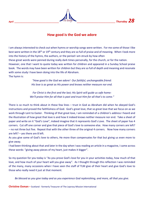

## **How good is the God we adore**

I am always interested to check out when hymns or worship songs were written. For me some of those I like best were written in the 18<sup>th</sup> or 19<sup>th</sup> century and they are so full of praise and of meaning. When I look more into the history of the hymns, the authors, or the period I am struck by how often these great words were penned during really dark times personally, for the church, or for the nation. However, one that I want to quote today was written for children and appeared in a Sunday School praise book. The words may have been written for children but they are so full of depth and meaning and resonate with some study I have been doing into the life of Abraham. The hymn is:

> *"How good is the God we adore! Our faithful, unchangeable friend: His love is as great as His power and knows neither measure nor end.*

*For Christ is the first and the last; His Spirit will guide us safe home: We'll praise Him for all that is past and trust Him for all that's to come."*

There is so much to think about in these few lines – trust in God as Abraham did when he obeyed God's instructions and proved the faithfulness of God. God's great love, that so great love that we focus on as we work through Lent to Easter. Thinking of that great love, I am reminded of a children's address I heard and the illustration of how great that love is and how it indeed knows neither measure nor end. Take a sheet of paper and write on it "God's Love", indeed imagine that it represents God's Love. The sheet of paper has 4 corners. Cut off one corner and give that piece of God's love to someone else. How many corners are left? – no not three but five. Repeat that with the other three of the original 4 corners. Now how many corners are left? – yes there are 8 left.

As you give some of God's love to others, He more than compensates for that but giving us even more to give away.

I had been thinking about that and later in the day when I was reading an article in a magazine, I came across these words: "giving away pieces of my heart, just makes it bigger".

So my question for you today is "As you prove God's love for you in your activities today, how much of that love, and how much of your heart will you give away". As I thought through this reflection I was reminded of the many, many occasions when I have seen the staff of TLM give of their heart and give God's love to those who really need it just at that moment.

*Be blessed as you give today and as you experience God replenishing, and more, all that you give.*

**Christine Osman –** Scotland - formerly Treasurer of The Leprosy Mission International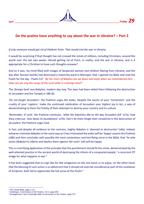

## **Do the psalms have anything to say about the war in Ukraine? – Part 2**

*If only someone would get rid of Vladimir Putin. That would end the war in Ukraine.*

It would be surprising if that thought has not crossed the minds of millions, including Christians, around the world over the last two weeks. Would getting rid of Putin, in reality, end the war in Ukraine, and is it appropriate for a Christian to have such thoughts anyway?

And so it was, my mind filled with images of desperate women and children fleeing from Ukraine, and the day after Russian bombs had destroyed a maternity ward in Mariupol, that I opened my Bible and read the Psalm for the day - Psalm 137 '*By the rivers of Babylon we sat down and wept when we remembered Zion ... How can we sing the songs of the Lord while in a foreign land?*'

The '*foreign land'* was Babylon, modern day Iraq. The Jews had been exiled there following the destruction of Jerusalem and the Temple in 586 BC.

*'Do not forget Jerusalem'*, the Psalmist urges the exiles. Despite the taunts of your '*tormentors*' and the cruelty of your '*captors,*' make the continued celebration of Jerusalem your *highest joy* (v 6c), a way of demonstrating to them the futility of their attempts to destroy your country and its culture.

*'Remember, O Lord',* the Psalmist continues, '*what the Edomites did on the day Jerusalem fell*' (v7a), how they cried out, '*tear down its foundations*' (v7b). Don't let them forget their complicity in the destruction of Jerusalem, the Psalmist urges God.

In fact, and despite all evidence to the contrary, mighty Babylon is '*doomed to destruction'* (v8a). Indeed, whoever mistreats Babylon in the same way as it has mistreated the exiles will be '*happy'* asserts the Psalmist *(v8b)* and then concludes with possibly the most contentious and horrifying verse in the Bible, that '*he who seizes (Babylon's) infants and dashes them against the rocks*' (v9) will be happy.

This is a terrifying application of the principle that the punishment should fit the crime, demonstrated by the well-attested practice in the ancient world of destroying the infants of a conquered people,<sup>1</sup> a recurrent OT image for what happens in war.<sup>2</sup>

It has been suggested that to urge like-for-like vengeance on the one hand, or to argue, on the other hand, that the blessing of such action is so abhorrent that it should not even be considered as part of the revelation of Scripture, both fail to appreciate the full sense of the Psalm.<sup>3</sup>

<sup>1</sup> ESV *Study Bible*, page 1,114

<sup>2</sup> Goldingay, *Commentary on the Psalms, Vol 3*, page 609

<sup>3</sup> Brueggemann, *New Cambridge Bible Commentary on the Psalms*, page 575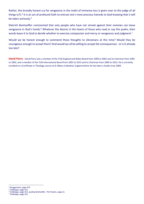Rather, the brutally honest cry for vengeance in the midst of immense loss is given over to the judge of all things (v7).<sup>4</sup> It is an act of profound faith to entrust one's most precious hatreds to God knowing that it will be taken seriously.<sup>5</sup>

Dietrich Bonhoeffer commented that only people who have not sinned against their enemies can leave vengeance in God's hands.<sup>6</sup> Whatever the desires in the hearts of those who read or say this psalm, their words leave it to God to decide whether to exercise compassion and mercy or vengeance and judgment.<sup>7</sup>

Would we be honest enough to commend these thoughts to Ukrainians at this time? Would they be courageous enough to accept them? And would we all be willing to accept the consequences - or is it already too late?

**David Parry -** David Parry was a member of the TLM England and Wales Board from 1990 to 2002 and its Chairman from 1995 to 2002, and a member of the TLM International Board from 2001 to 2013 and its Chairman from 2009 to 2013. He is currently enrolled on a Certificate in Theology course at St Albans Cathedral, England where he has been a Guide since 2009.

<sup>4</sup> Bruggemann, page 576

<sup>5</sup> Goldingay, page 612

<sup>6</sup> Goldingay, page 613, quoting Bonhoeffer, *The Psalms*, page 21

<sup>7</sup> Goldingay, page 614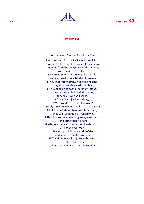

## **Psalm 64**

*For the director of music. A psalm of David.*

**1** Hear me, my God, as I voice my complaint; protect my life from the threat of the enemy. **2** Hide me from the conspiracy of the wicked, from the plots of evildoers. **3** They sharpen their tongues like swords and aim cruel words like deadly arrows. **4** They shoot from ambush at the innocent; they shoot suddenly, without fear. **5** They encourage each other in evil plans, they talk about hiding their snares; they say, "Who will see it?" **6** They plot injustice and say, "We have devised a perfect plan!" Surely the human mind and heart are cunning. **7** But God will shoot them with his arrows; they will suddenly be struck down. **8** He will turn their own tongues against them and bring them to ruin; all who see them will shake their heads in scorn. **9** All people will fear; they will proclaim the works of God and ponder what he has done. 10 The righteous will rejoice in the LORD and take refuge in him; all the upright in heart will glory in him!